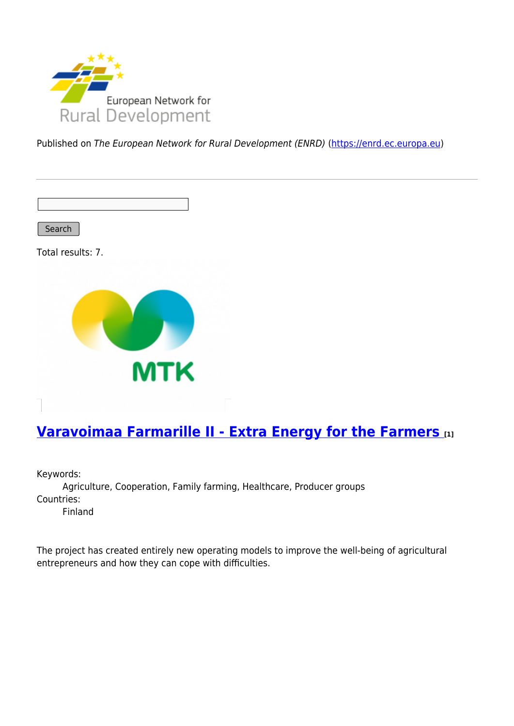

Published on The European Network for Rural Development (ENRD) [\(https://enrd.ec.europa.eu](https://enrd.ec.europa.eu))

Search

Total results: 7.



## **[Varavoimaa Farmarille II - Extra Energy for the Farmers](https://enrd.ec.europa.eu/projects-practice/varavoimaa-farmarille-ii-extra-energy-farmers_en) [1]**

Keywords: Agriculture, Cooperation, Family farming, Healthcare, Producer groups Countries: Finland

The project has created entirely new operating models to improve the well-being of agricultural entrepreneurs and how they can cope with difficulties.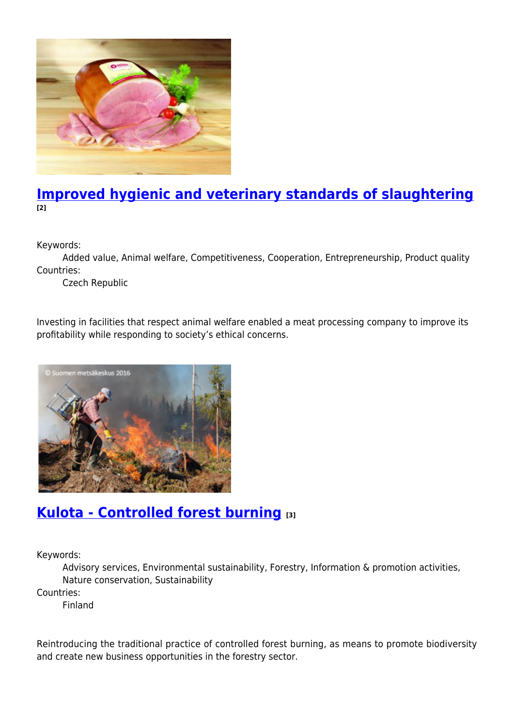

#### **[Improved hygienic and veterinary standards of slaughtering](https://enrd.ec.europa.eu/projects-practice/improved-hygienic-and-veterinary-standards-slaughtering_en) [2]**

Keywords:

Added value, Animal welfare, Competitiveness, Cooperation, Entrepreneurship, Product quality Countries:

Czech Republic

Investing in facilities that respect animal welfare enabled a meat processing company to improve its profitability while responding to society's ethical concerns.



#### **[Kulota - Controlled forest burning](https://enrd.ec.europa.eu/projects-practice/kulota-controlled-forest-burning_en) [3]**

Keywords:

Advisory services, Environmental sustainability, Forestry, Information & promotion activities, Nature conservation, Sustainability

Countries:

Finland

Reintroducing the traditional practice of controlled forest burning, as means to promote biodiversity and create new business opportunities in the forestry sector.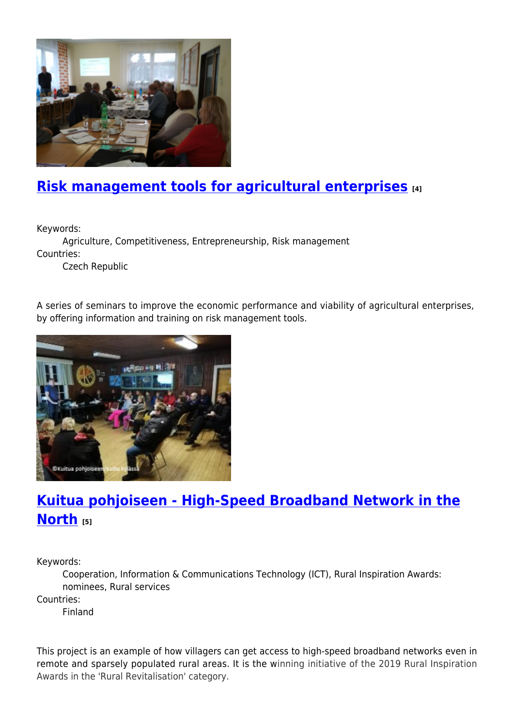

#### **[Risk management tools for agricultural enterprises](https://enrd.ec.europa.eu/projects-practice/risk-management-tools-agricultural-enterprises_en) [4]**

Keywords:

Agriculture, Competitiveness, Entrepreneurship, Risk management Countries:

Czech Republic

A series of seminars to improve the economic performance and viability of agricultural enterprises, by offering information and training on risk management tools.



## **[Kuitua pohjoiseen - High-Speed Broadband Network in the](https://enrd.ec.europa.eu/projects-practice/kuitua-pohjoiseen-high-speed-broadband-network-north_en) [North](https://enrd.ec.europa.eu/projects-practice/kuitua-pohjoiseen-high-speed-broadband-network-north_en) [5]**

Keywords:

Cooperation, Information & Communications Technology (ICT), Rural Inspiration Awards: nominees, Rural services

Countries:

Finland

This project is an example of how villagers can get access to high-speed broadband networks even in remote and sparsely populated rural areas. It is the winning initiative of the 2019 Rural Inspiration Awards in the 'Rural Revitalisation' category.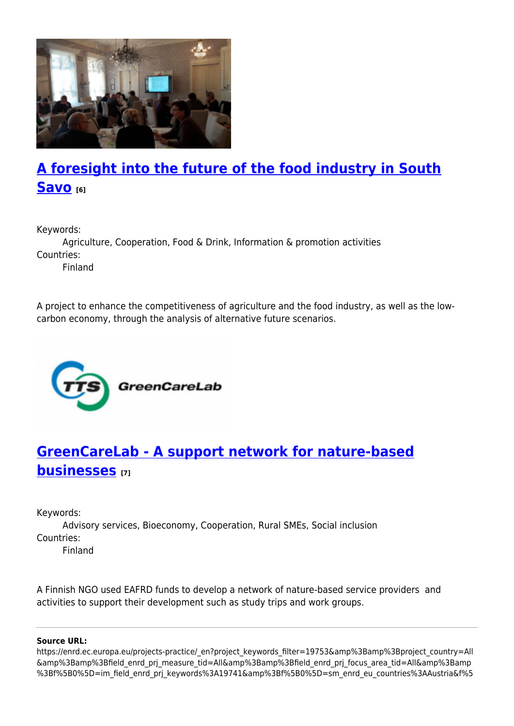

# **[A foresight into the future of the food industry in South](https://enrd.ec.europa.eu/projects-practice/foresight-future-food-industry-south-savo_en) [Savo](https://enrd.ec.europa.eu/projects-practice/foresight-future-food-industry-south-savo_en) [6]**

Keywords:

Agriculture, Cooperation, Food & Drink, Information & promotion activities Countries:

Finland

A project to enhance the competitiveness of agriculture and the food industry, as well as the lowcarbon economy, through the analysis of alternative future scenarios.



## **[GreenCareLab - A support network for nature-based](https://enrd.ec.europa.eu/projects-practice/greencarelab-support-network-nature-based-businesses_en) [businesses](https://enrd.ec.europa.eu/projects-practice/greencarelab-support-network-nature-based-businesses_en) [7]**

Keywords:

Advisory services, Bioeconomy, Cooperation, Rural SMEs, Social inclusion Countries:

Finland

A Finnish NGO used EAFRD funds to develop a network of nature-based service providers and activities to support their development such as study trips and work groups.

#### **Source URL:**

https://enrd.ec.europa.eu/projects-practice/\_en?project\_keywords\_filter=19753&amp%3Bamp%3Bproject\_country=All &amp%3Bamp%3Bfield\_enrd\_prj\_measure\_tid=All&amp%3Bamp%3Bfield\_enrd\_prj\_focus\_area\_tid=All&amp%3Bamp %3Bf%5B0%5D=im\_field\_enrd\_prj\_keywords%3A19741&amp%3Bf%5B0%5D=sm\_enrd\_eu\_countries%3AAustria&f%5